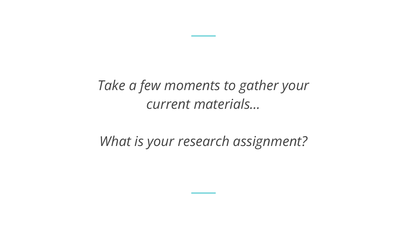# *Take a few moments to gather your current materials…*

## *What is your research assignment?*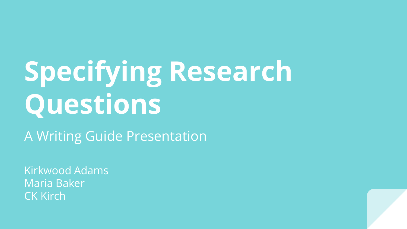# **Specifying Research Questions**

A Writing Guide Presentation

Kirkwood Adams Maria Baker CK Kirch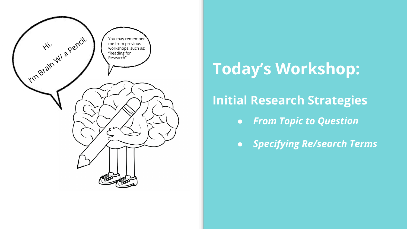

# **Today's Workshop:**

### **Initial Research Strategies**

- *● From Topic to Question*
- *● Specifying Re/search Terms*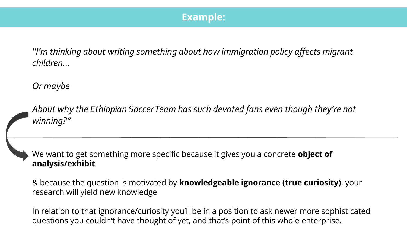#### **Example:**

*"I'm thinking about writing something about how immigration policy affects migrant children…*

*Or maybe*

*About why the Ethiopian Soccer Team has such devoted fans even though they're not winning?"*

We want to get something more specific because it gives you a concrete **object of analysis/exhibit**

& because the question is motivated by **knowledgeable ignorance (true curiosity)**, your research will yield new knowledge

In relation to that ignorance/curiosity you'll be in a position to ask newer more sophisticated questions you couldn't have thought of yet, and that's point of this whole enterprise.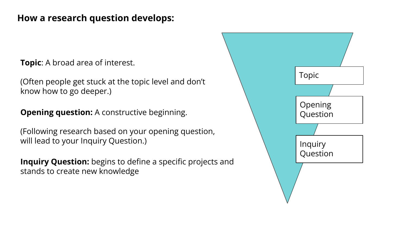#### **How a research question develops:**

**Topic**: A broad area of interest.

(Often people get stuck at the topic level and don't know how to go deeper.)

**Opening question:** A constructive beginning.

(Following research based on your opening question, will lead to your Inquiry Question.)

**Inquiry Question:** begins to define a specific projects and stands to create new knowledge

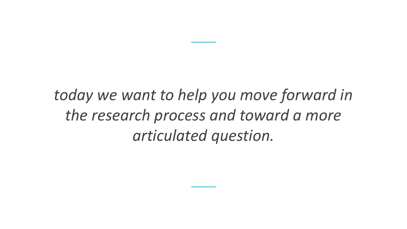*today we want to help you move forward in the research process and toward a more articulated question.*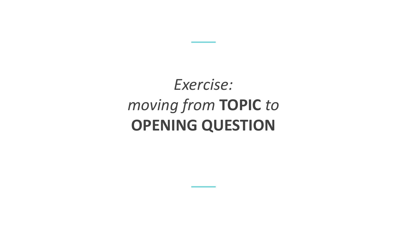# *Exercise: moving from* **TOPIC** *to* **OPENING QUESTION**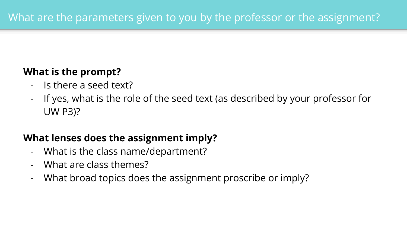### **What is the prompt?**

- Is there a seed text?
- If yes, what is the role of the seed text (as described by your professor for UW P3)?

### **What lenses does the assignment imply?**

- What is the class name/department?
- What are class themes?
- What broad topics does the assignment proscribe or imply?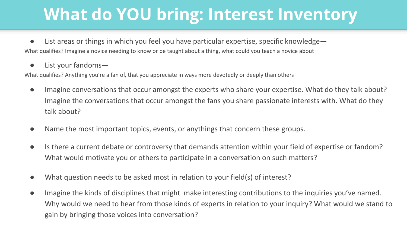# **What do YOU bring: Interest Inventory**

● List areas or things in which you feel you have particular expertise, specific knowledge— What qualifies? Imagine a novice needing to know or be taught about a thing, what could you teach a novice about

● List your fandoms—

What qualifies? Anything you're a fan of, that you appreciate in ways more devotedly or deeply than others

- Imagine conversations that occur amongst the experts who share your expertise. What do they talk about? Imagine the conversations that occur amongst the fans you share passionate interests with. What do they talk about?
- Name the most important topics, events, or anythings that concern these groups.
- Is there a current debate or controversy that demands attention within your field of expertise or fandom? What would motivate you or others to participate in a conversation on such matters?
- What question needs to be asked most in relation to your field(s) of interest?
- Imagine the kinds of disciplines that might make interesting contributions to the inquiries you've named. Why would we need to hear from those kinds of experts in relation to your inquiry? What would we stand to gain by bringing those voices into conversation?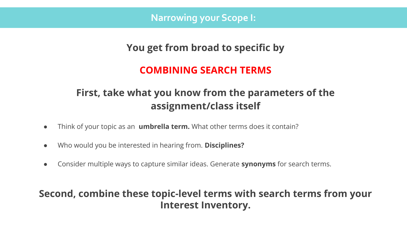**Narrowing your Scope I:**

#### **You get from broad to specific by**

#### **COMBINING SEARCH TERMS**

### **First, take what you know from the parameters of the assignment/class itself**

- Think of your topic as an **umbrella term.** What other terms does it contain?
- Who would you be interested in hearing from. **Disciplines?**
- Consider multiple ways to capture similar ideas. Generate **synonyms** for search terms.

#### **Second, combine these topic-level terms with search terms from your Interest Inventory.**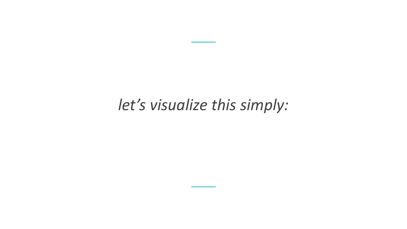# *let's visualize this simply:*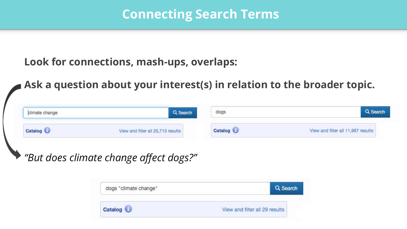### **Connecting Search Terms**

### **Look for connections, mash-ups, overlaps:**

**Ask a question about your interest(s) in relation to the broader topic.**

| climate change | Q Search                           | dogs    | Search                             |
|----------------|------------------------------------|---------|------------------------------------|
| Catalog        | View and filter all 25,713 results | Catalog | View and filter all 11,987 results |

*"But does climate change affect dogs?"*

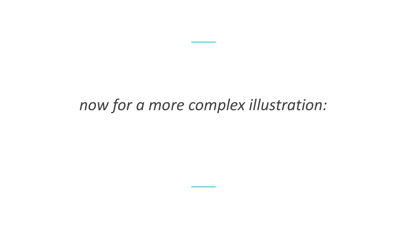# *now for a more complex illustration:*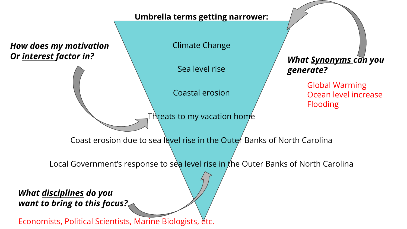#### **Umbrella terms getting narrower:**

*How does my motivation Or interest factor in?*

Climate Change

Sea level rise

Coastal erosion

Threats to my vacation home

*What Synonyms can you generate?*

> Global Warming Ocean level increase Flooding

Coast erosion due to sea level rise in the Outer Banks of North Carolina

Local Government's response to sea level rise in the Outer Banks of North Carolina

*What disciplines do you want to bring to this focus?*

Economists, Political Scientists, Marine Biologists, etc.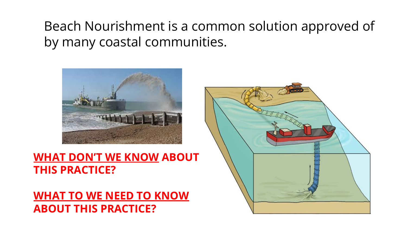### Beach Nourishment is a common solution approved of by many coastal communities.



### **WHAT DON'T WE KNOW ABOUT THIS PRACTICE?**

### **WHAT TO WE NEED TO KNOW ABOUT THIS PRACTICE?**

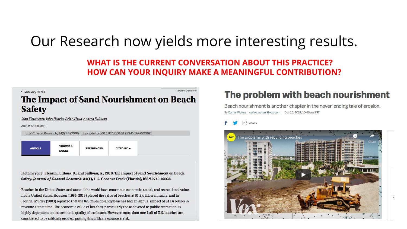# Our Research now yields more interesting results.

#### **WHAT IS THE CURRENT CONVERSATION ABOUT THIS PRACTICE? HOW CAN YOUR INQUIRY MAKE A MEANINGFUL CONTRIBUTION?**

#### **Translator Disclaime** 1 January 2018 The Impact of Sand Nourishment on Beach **Safety**

John Fletemeyer, John Hearin, Brian Haus, Andrea Sullivan

Author Affiliations +

|  | J. of Coastal Research, 34(1):1-5 (2018). https://doi.org/10.2112/JCOASTRES-D-17A-00006.1 |
|--|-------------------------------------------------------------------------------------------|
|--|-------------------------------------------------------------------------------------------|

| <b>FIGURES &amp;</b><br><b>ARTICLE</b><br><b>TABLES</b> | <b>REFERENCES</b> | $C$ ITED BY $\sim$ |
|---------------------------------------------------------|-------------------|--------------------|
|---------------------------------------------------------|-------------------|--------------------|

Fletemeyer, J.; Hearin, J.; Haus, B., and Sullivan, A., 2018. The Impact of Sand Nourishment on Beach Safety. Journal of Coastal Research, 34(1), 1-5. Coconut Creek (Florida), ISSN 0749-02028.

Beaches in the United States and around the world have enormous economic, social, and recreational value. In the United States, Houston (1996, 2013) placed the value of beaches at \$1.2 trillion annually, and in Florida, Murley (2003) reported that the 825 miles of sandy beaches had an annual impact of \$41.6 billion in revenue at that time. The economic value of beaches, particularly those devoted to public recreation, is highly dependent on the aesthetic quality of the beach. However, more than one-half of U.S. beaches are considered to be critically eroded, putting this critical resource at risk.

#### The problem with beach nourishment

Beach nourishment is another chapter in the never-ending tale of erosion. By Carlos Waters | carlos.waters@vox.com | Dec 10, 2018, 10:40am EST



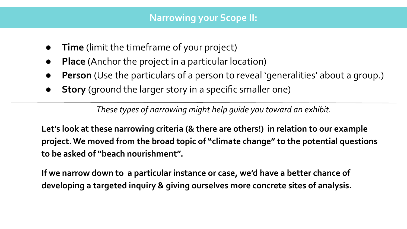- **Time** (limit the timeframe of your project)
- **Place** (Anchor the project in a particular location)
- **Person** (Use the particulars of a person to reveal 'generalities' about a group.)
- **Story** (ground the larger story in a specific smaller one)

*These types of narrowing might help guide you toward an exhibit.*

**Let's look at these narrowing criteria (& there are others!) in relation to our example project. We moved from the broad topic of "climate change" to the potential questions to be asked of "beach nourishment".**

**If we narrow down to a particular instance or case, we'd have a better chance of developing a targeted inquiry & giving ourselves more concrete sites of analysis.**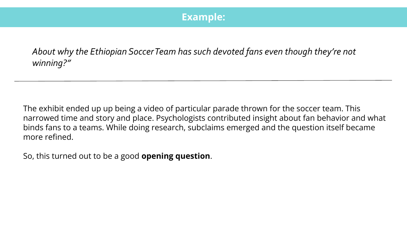#### **Example:**

*About why the Ethiopian Soccer Team has such devoted fans even though they're not winning?"*

The exhibit ended up up being a video of particular parade thrown for the soccer team. This narrowed time and story and place. Psychologists contributed insight about fan behavior and what binds fans to a teams. While doing research, subclaims emerged and the question itself became more refined.

So, this turned out to be a good **opening question**.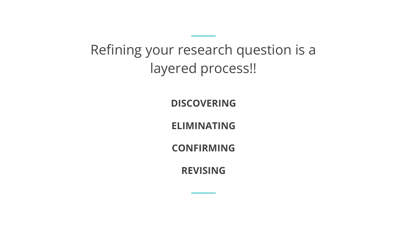# Refining your research question is a layered process!!

**DISCOVERING**

**ELIMINATING** 

**CONFIRMING**

**REVISING**